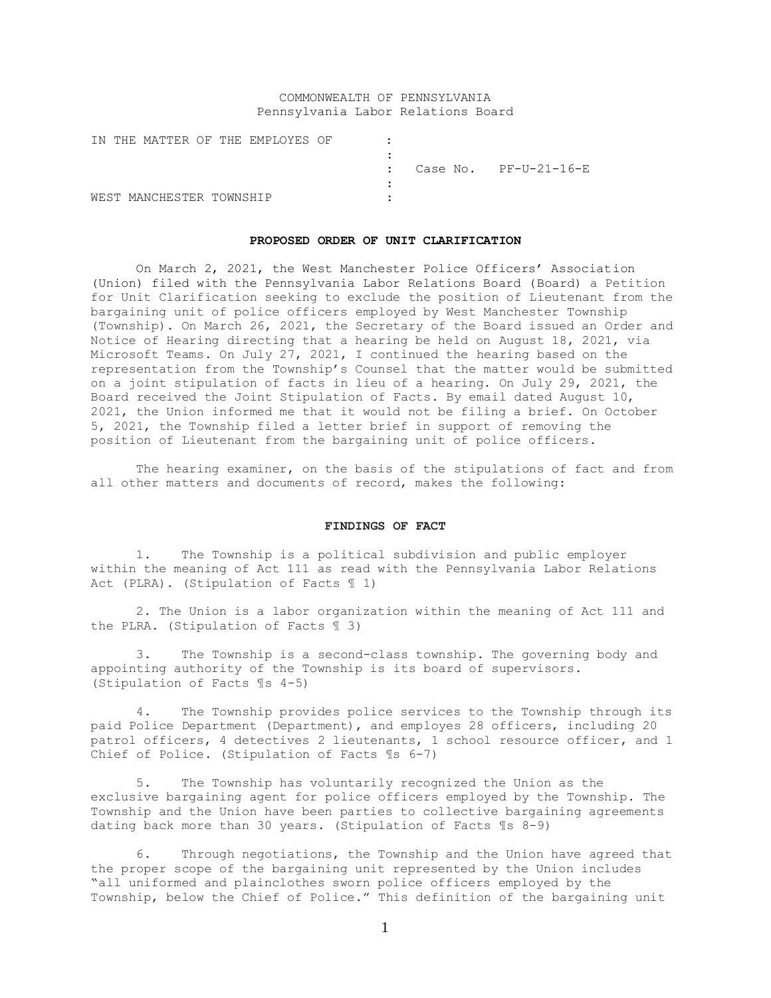# COMMONWEALTH OF PENNSYLVANIA Pennsylvania Labor Relations Board

|  |                          |  | IN THE MATTER OF THE EMPLOYES OF |  |  |                                    |
|--|--------------------------|--|----------------------------------|--|--|------------------------------------|
|  |                          |  |                                  |  |  |                                    |
|  |                          |  |                                  |  |  | $\therefore$ Case No. PF-U-21-16-E |
|  |                          |  |                                  |  |  |                                    |
|  | WEST MANCHESTER TOWNSHIP |  |                                  |  |  |                                    |

#### **PROPOSED ORDER OF UNIT CLARIFICATION**

On March 2, 2021, the West Manchester Police Officers' Association (Union) filed with the Pennsylvania Labor Relations Board (Board) a Petition for Unit Clarification seeking to exclude the position of Lieutenant from the bargaining unit of police officers employed by West Manchester Township (Township). On March 26, 2021, the Secretary of the Board issued an Order and Notice of Hearing directing that a hearing be held on August 18, 2021, via Microsoft Teams. On July 27, 2021, I continued the hearing based on the representation from the Township's Counsel that the matter would be submitted on a joint stipulation of facts in lieu of a hearing. On July 29, 2021, the Board received the Joint Stipulation of Facts. By email dated August 10, 2021, the Union informed me that it would not be filing a brief. On October 5, 2021, the Township filed a letter brief in support of removing the position of Lieutenant from the bargaining unit of police officers.

The hearing examiner, on the basis of the stipulations of fact and from all other matters and documents of record, makes the following:

#### **FINDINGS OF FACT**

1. The Township is a political subdivision and public employer within the meaning of Act 111 as read with the Pennsylvania Labor Relations Act (PLRA). (Stipulation of Facts ¶ 1)

2. The Union is a labor organization within the meaning of Act 111 and the PLRA. (Stipulation of Facts ¶ 3)

3. The Township is a second-class township. The governing body and appointing authority of the Township is its board of supervisors. (Stipulation of Facts ¶s 4-5)

4. The Township provides police services to the Township through its paid Police Department (Department), and employes 28 officers, including 20 patrol officers, 4 detectives 2 lieutenants, 1 school resource officer, and 1 Chief of Police. (Stipulation of Facts ¶s 6-7)

5. The Township has voluntarily recognized the Union as the exclusive bargaining agent for police officers employed by the Township. The Township and the Union have been parties to collective bargaining agreements dating back more than 30 years. (Stipulation of Facts ¶s 8-9)

6. Through negotiations, the Township and the Union have agreed that the proper scope of the bargaining unit represented by the Union includes "all uniformed and plainclothes sworn police officers employed by the Township, below the Chief of Police." This definition of the bargaining unit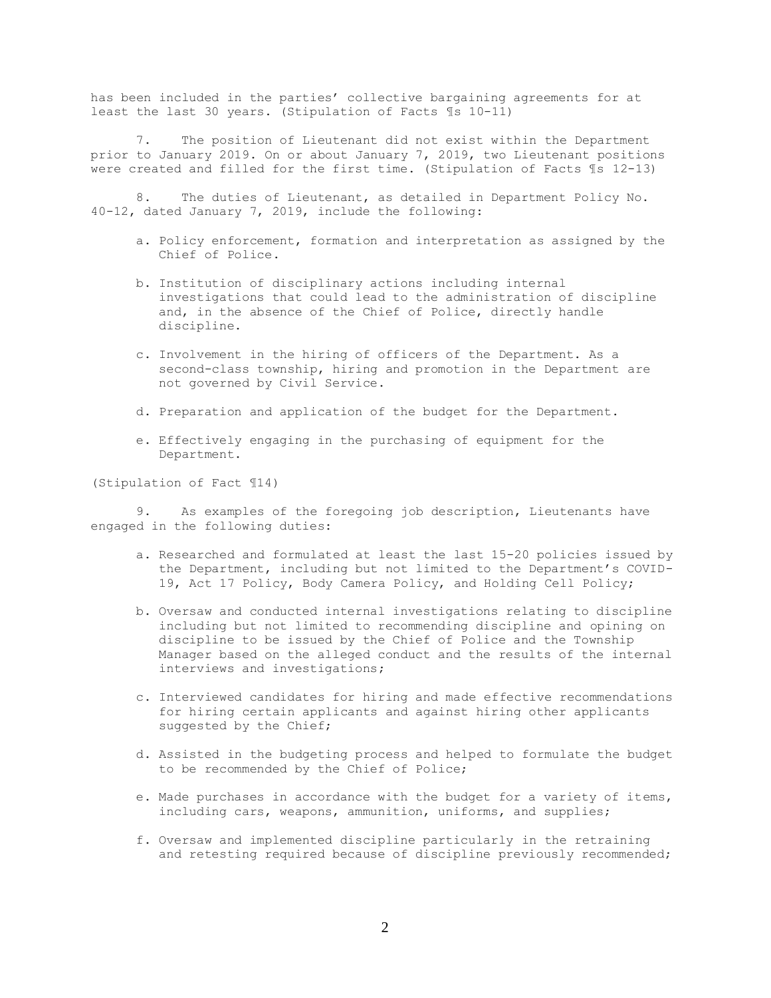has been included in the parties' collective bargaining agreements for at least the last 30 years. (Stipulation of Facts ¶s 10-11)

7. The position of Lieutenant did not exist within the Department prior to January 2019. On or about January 7, 2019, two Lieutenant positions were created and filled for the first time. (Stipulation of Facts ¶s 12-13)

8. The duties of Lieutenant, as detailed in Department Policy No. 40-12, dated January 7, 2019, include the following:

- a. Policy enforcement, formation and interpretation as assigned by the Chief of Police.
- b. Institution of disciplinary actions including internal investigations that could lead to the administration of discipline and, in the absence of the Chief of Police, directly handle discipline.
- c. Involvement in the hiring of officers of the Department. As a second-class township, hiring and promotion in the Department are not governed by Civil Service.
- d. Preparation and application of the budget for the Department.
- e. Effectively engaging in the purchasing of equipment for the Department.

(Stipulation of Fact ¶14)

9. As examples of the foregoing job description, Lieutenants have engaged in the following duties:

- a. Researched and formulated at least the last 15-20 policies issued by the Department, including but not limited to the Department's COVID-19, Act 17 Policy, Body Camera Policy, and Holding Cell Policy;
- b. Oversaw and conducted internal investigations relating to discipline including but not limited to recommending discipline and opining on discipline to be issued by the Chief of Police and the Township Manager based on the alleged conduct and the results of the internal interviews and investigations;
- c. Interviewed candidates for hiring and made effective recommendations for hiring certain applicants and against hiring other applicants suggested by the Chief;
- d. Assisted in the budgeting process and helped to formulate the budget to be recommended by the Chief of Police;
- e. Made purchases in accordance with the budget for a variety of items, including cars, weapons, ammunition, uniforms, and supplies;
- f. Oversaw and implemented discipline particularly in the retraining and retesting required because of discipline previously recommended;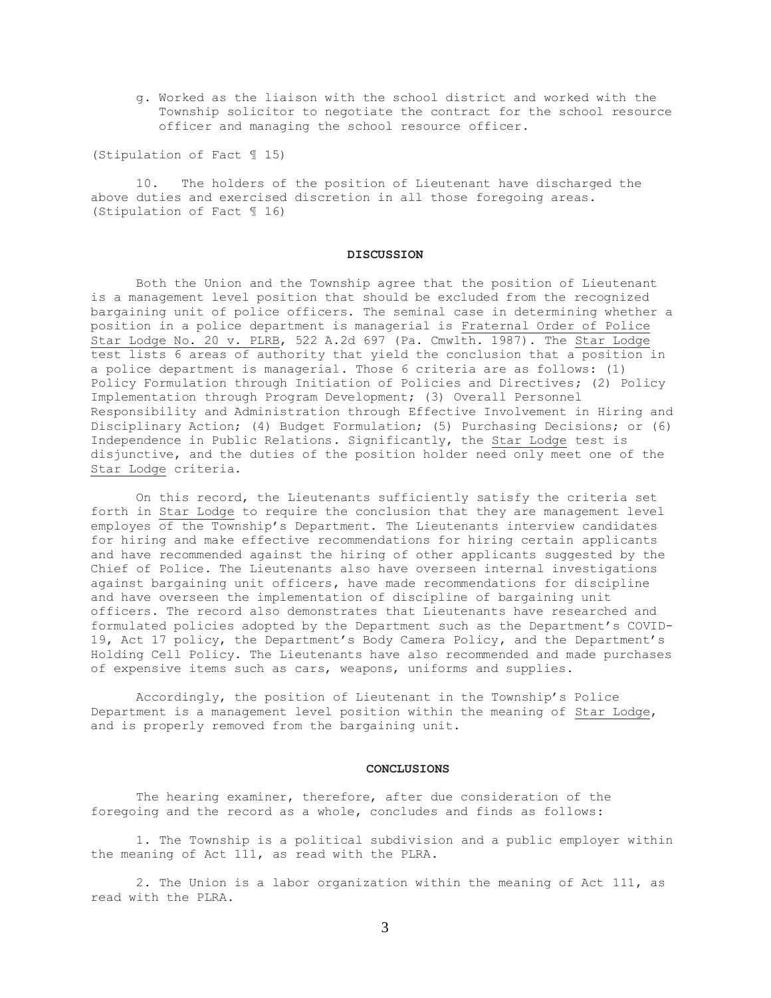g. Worked as the liaison with the school district and worked with the Township solicitor to negotiate the contract for the school resource officer and managing the school resource officer.

(Stipulation of Fact ¶ 15)

10. The holders of the position of Lieutenant have discharged the above duties and exercised discretion in all those foregoing areas. (Stipulation of Fact ¶ 16)

## **DISCUSSION**

Both the Union and the Township agree that the position of Lieutenant is a management level position that should be excluded from the recognized bargaining unit of police officers. The seminal case in determining whether a position in a police department is managerial is Fraternal Order of Police Star Lodge No. 20 v. PLRB, 522 A.2d 697 (Pa. Cmwlth. 1987). The Star Lodge test lists 6 areas of authority that yield the conclusion that a position in a police department is managerial. Those 6 criteria are as follows: (1) Policy Formulation through Initiation of Policies and Directives; (2) Policy Implementation through Program Development; (3) Overall Personnel Responsibility and Administration through Effective Involvement in Hiring and Disciplinary Action; (4) Budget Formulation; (5) Purchasing Decisions; or (6) Independence in Public Relations. Significantly, the Star Lodge test is disjunctive, and the duties of the position holder need only meet one of the Star Lodge criteria.

On this record, the Lieutenants sufficiently satisfy the criteria set forth in Star Lodge to require the conclusion that they are management level employes of the Township's Department. The Lieutenants interview candidates for hiring and make effective recommendations for hiring certain applicants and have recommended against the hiring of other applicants suggested by the Chief of Police. The Lieutenants also have overseen internal investigations against bargaining unit officers, have made recommendations for discipline and have overseen the implementation of discipline of bargaining unit officers. The record also demonstrates that Lieutenants have researched and formulated policies adopted by the Department such as the Department's COVID-19, Act 17 policy, the Department's Body Camera Policy, and the Department's Holding Cell Policy. The Lieutenants have also recommended and made purchases of expensive items such as cars, weapons, uniforms and supplies.

Accordingly, the position of Lieutenant in the Township's Police Department is a management level position within the meaning of Star Lodge, and is properly removed from the bargaining unit.

### **CONCLUSIONS**

The hearing examiner, therefore, after due consideration of the foregoing and the record as a whole, concludes and finds as follows:

1. The Township is a political subdivision and a public employer within the meaning of Act 111, as read with the PLRA.

2. The Union is a labor organization within the meaning of Act 111, as read with the PLRA.